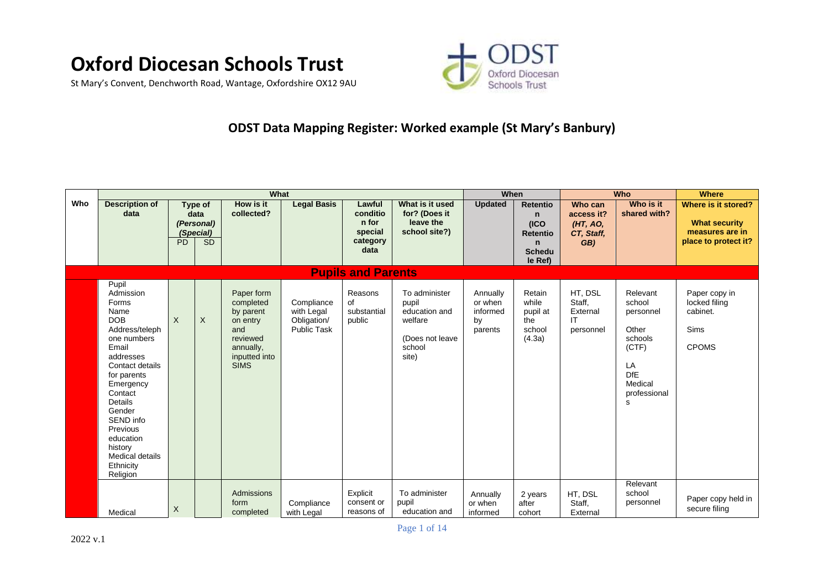

St Mary's Convent, Denchworth Road, Wantage, Oxfordshire OX12 9AU



## **ODST Data Mapping Register: Worked example (St Mary's Banbury)**

|     |                                                                                                                                                                                                                                                                                                    |                |                                                         | What                                                                                                             |                                                               |                                                            |                                                                                          | When                                             |                                                                                               |                                                        | Who                                                                                                              | <b>Where</b>                                                                           |
|-----|----------------------------------------------------------------------------------------------------------------------------------------------------------------------------------------------------------------------------------------------------------------------------------------------------|----------------|---------------------------------------------------------|------------------------------------------------------------------------------------------------------------------|---------------------------------------------------------------|------------------------------------------------------------|------------------------------------------------------------------------------------------|--------------------------------------------------|-----------------------------------------------------------------------------------------------|--------------------------------------------------------|------------------------------------------------------------------------------------------------------------------|----------------------------------------------------------------------------------------|
| Who | <b>Description of</b><br>data                                                                                                                                                                                                                                                                      | P <sub>D</sub> | Type of<br>data<br>(Personal)<br>(Special)<br><b>SD</b> | How is it<br>collected?                                                                                          | <b>Legal Basis</b>                                            | Lawful<br>conditio<br>n for<br>special<br>category<br>data | What is it used<br>for? (Does it<br>leave the<br>school site?)                           | <b>Updated</b>                                   | <b>Retentio</b><br>$\mathsf{n}$<br>(ICO)<br><b>Retentio</b><br>n.<br><b>Schedu</b><br>le Ref) | Who can<br>access it?<br>(HT, AO,<br>CT, Staff,<br>GB) | Who is it<br>shared with?                                                                                        | Where is it stored?<br><b>What security</b><br>measures are in<br>place to protect it? |
|     |                                                                                                                                                                                                                                                                                                    |                |                                                         |                                                                                                                  |                                                               | <b>Pupils and Parents</b>                                  |                                                                                          |                                                  |                                                                                               |                                                        |                                                                                                                  |                                                                                        |
|     | Pupil<br>Admission<br>Forms<br>Name<br><b>DOB</b><br>Address/teleph<br>one numbers<br>Email<br>addresses<br>Contact details<br>for parents<br>Emergency<br>Contact<br><b>Details</b><br>Gender<br>SEND info<br>Previous<br>education<br>history<br><b>Medical details</b><br>Ethnicity<br>Religion | $\sf X$        | X                                                       | Paper form<br>completed<br>by parent<br>on entry<br>and<br>reviewed<br>annually,<br>inputted into<br><b>SIMS</b> | Compliance<br>with Legal<br>Obligation/<br><b>Public Task</b> | Reasons<br>of<br>substantial<br>public                     | To administer<br>pupil<br>education and<br>welfare<br>(Does not leave<br>school<br>site) | Annually<br>or when<br>informed<br>by<br>parents | Retain<br>while<br>pupil at<br>the<br>school<br>(4.3a)                                        | HT. DSL<br>Staff,<br>External<br>IT<br>personnel       | Relevant<br>school<br>personnel<br>Other<br>schools<br>(CTF)<br>LA<br><b>DfE</b><br>Medical<br>professional<br>s | Paper copy in<br>locked filing<br>cabinet.<br>Sims<br><b>CPOMS</b>                     |
|     | Medical                                                                                                                                                                                                                                                                                            | X              |                                                         | Admissions<br>form<br>completed                                                                                  | Compliance<br>with Legal                                      | Explicit<br>consent or<br>reasons of                       | To administer<br>pupil<br>education and                                                  | Annually<br>or when<br>informed                  | 2 years<br>after<br>cohort                                                                    | HT, DSL<br>Staff,<br>External                          | Relevant<br>school<br>personnel                                                                                  | Paper copy held in<br>secure filing                                                    |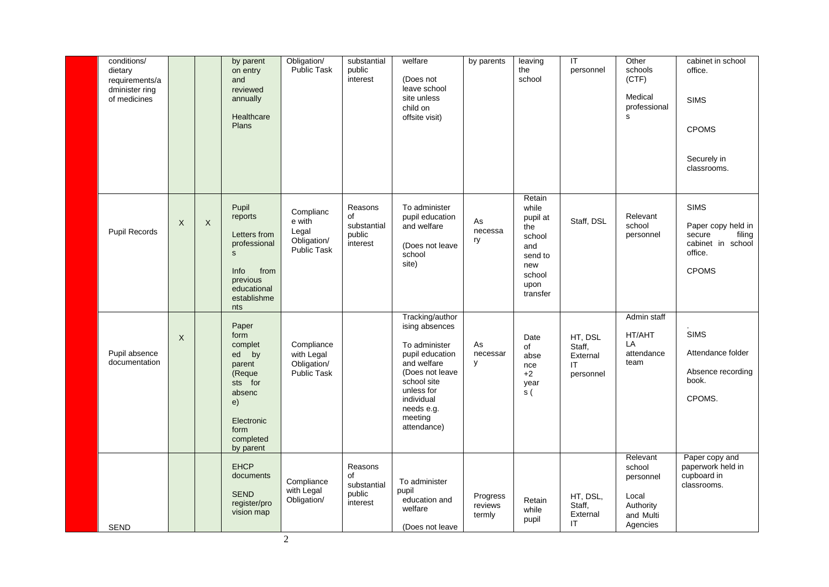| conditions/<br>dietary<br>requirements/a<br>dminister ring<br>of medicines |          |                           | by parent<br>on entry<br>and<br>reviewed<br>annually<br>Healthcare<br>Plans                                                       | Obligation/<br>Public Task                                 | substantial<br>public<br>interest                  | welfare<br>(Does not<br>leave school<br>site unless<br>child on<br>offsite visit)                                                                                                          | by parents                    | leaving<br>the<br>school                                                                            | $\overline{\mathsf{T}}$<br>personnel             | Other<br>schools<br>(CTF)<br>Medical<br>professional<br>s                      | cabinet in school<br>office.<br><b>SIMS</b><br><b>CPOMS</b><br>Securely in<br>classrooms.             |
|----------------------------------------------------------------------------|----------|---------------------------|-----------------------------------------------------------------------------------------------------------------------------------|------------------------------------------------------------|----------------------------------------------------|--------------------------------------------------------------------------------------------------------------------------------------------------------------------------------------------|-------------------------------|-----------------------------------------------------------------------------------------------------|--------------------------------------------------|--------------------------------------------------------------------------------|-------------------------------------------------------------------------------------------------------|
| Pupil Records                                                              | $\sf X$  | $\boldsymbol{\mathsf{X}}$ | Pupil<br>reports<br>Letters from<br>professional<br>$\mathbf{s}$<br>Info<br>from<br>previous<br>educational<br>establishme<br>nts | Complianc<br>e with<br>Legal<br>Obligation/<br>Public Task | Reasons<br>of<br>substantial<br>public<br>interest | To administer<br>pupil education<br>and welfare<br>(Does not leave<br>school<br>site)                                                                                                      | As<br>necessa<br>ry           | Retain<br>while<br>pupil at<br>the<br>school<br>and<br>send to<br>new<br>school<br>upon<br>transfer | Staff, DSL                                       | Relevant<br>school<br>personnel                                                | <b>SIMS</b><br>Paper copy held in<br>filing<br>secure<br>cabinet in school<br>office.<br><b>CPOMS</b> |
| Pupil absence<br>documentation                                             | $\times$ |                           | Paper<br>form<br>complet<br>ed by<br>parent<br>(Reque<br>sts for<br>absenc<br>e)<br>Electronic<br>form<br>completed<br>by parent  | Compliance<br>with Legal<br>Obligation/<br>Public Task     |                                                    | Tracking/author<br>ising absences<br>To administer<br>pupil education<br>and welfare<br>(Does not leave<br>school site<br>unless for<br>individual<br>needs e.g.<br>meeting<br>attendance) | As<br>necessar<br>у           | Date<br>of<br>abse<br>nce<br>$+2$<br>year<br>$\overline{\mathbf{s}}$ (                              | HT, DSL<br>Staff,<br>External<br>IT<br>personnel | Admin staff<br>HT/AHT<br>LA<br>attendance<br>team                              | <b>SIMS</b><br>Attendance folder<br>Absence recording<br>book.<br>CPOMS.                              |
| SEND                                                                       |          |                           | <b>EHCP</b><br>documents<br><b>SEND</b><br>register/pro<br>vision map                                                             | Compliance<br>with Legal<br>Obligation/                    | Reasons<br>of<br>substantial<br>public<br>interest | To administer<br>pupil<br>education and<br>welfare<br>(Does not leave                                                                                                                      | Progress<br>reviews<br>termly | Retain<br>while<br>pupil                                                                            | HT, DSL,<br>Staff,<br>External<br>IT             | Relevant<br>school<br>personnel<br>Local<br>Authority<br>and Multi<br>Agencies | Paper copy and<br>paperwork held in<br>cupboard in<br>classrooms.                                     |

2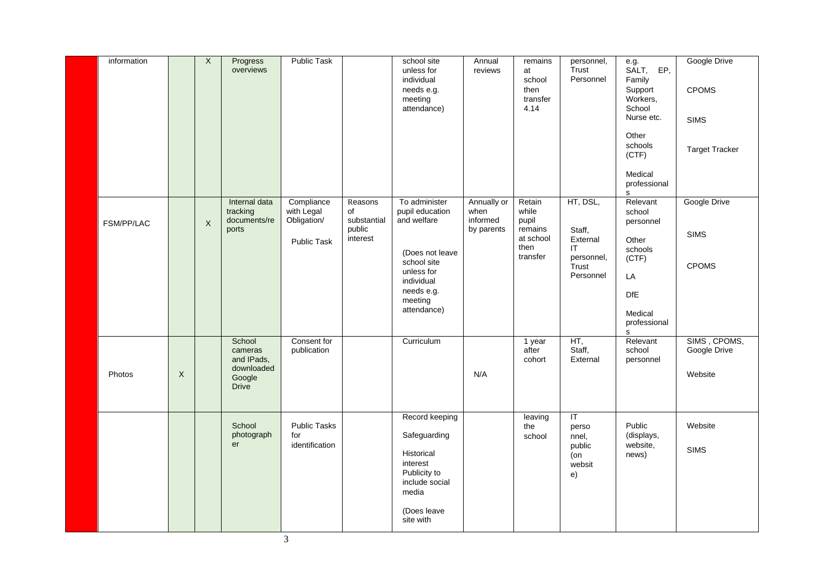| information       |                  | $\overline{X}$ | Progress<br>overviews                                                   | Public Task                                                   |                                                    | school site<br>unless for<br>individual<br>needs e.g.<br>meeting<br>attendance)                                                                       | Annual<br>reviews                             | remains<br>at<br>school<br>then<br>transfer<br>4.14                  | personnel,<br>Trust<br>Personnel                                           | e.g.<br>SALT, EP,<br>Family<br>Support<br>Workers,<br>School<br>Nurse etc.<br>Other<br>schools<br>(CTF)<br>Medical<br>professional<br>s | Google Drive<br><b>CPOMS</b><br><b>SIMS</b><br><b>Target Tracker</b> |
|-------------------|------------------|----------------|-------------------------------------------------------------------------|---------------------------------------------------------------|----------------------------------------------------|-------------------------------------------------------------------------------------------------------------------------------------------------------|-----------------------------------------------|----------------------------------------------------------------------|----------------------------------------------------------------------------|-----------------------------------------------------------------------------------------------------------------------------------------|----------------------------------------------------------------------|
| <b>FSM/PP/LAC</b> |                  | $\times$       | Internal data<br>tracking<br>documents/re<br>ports                      | Compliance<br>with Legal<br>Obligation/<br><b>Public Task</b> | Reasons<br>of<br>substantial<br>public<br>interest | To administer<br>pupil education<br>and welfare<br>(Does not leave<br>school site<br>unless for<br>individual<br>needs e.g.<br>meeting<br>attendance) | Annually or<br>when<br>informed<br>by parents | Retain<br>while<br>pupil<br>remains<br>at school<br>then<br>transfer | HT, DSL,<br>Staff,<br>External<br>IT<br>personnel,<br>Trust<br>Personnel   | Relevant<br>school<br>personnel<br>Other<br>schools<br>(CTF)<br>LA<br><b>DfE</b><br>Medical<br>professional<br>s                        | Google Drive<br><b>SIMS</b><br><b>CPOMS</b>                          |
| Photos            | $\boldsymbol{X}$ |                | School<br>cameras<br>and IPads,<br>downloaded<br>Google<br><b>Drive</b> | Consent for<br>publication                                    |                                                    | Curriculum                                                                                                                                            | N/A                                           | 1 year<br>after<br>cohort                                            | HT,<br>Staff,<br>External                                                  | Relevant<br>school<br>personnel                                                                                                         | SIMS, CPOMS,<br>Google Drive<br>Website                              |
|                   |                  |                | School<br>photograph<br>er                                              | <b>Public Tasks</b><br>for<br>identification                  |                                                    | Record keeping<br>Safeguarding<br>Historical<br>interest<br>Publicity to<br>include social<br>media<br>(Does leave<br>site with                       |                                               | leaving<br>the<br>school                                             | $\overline{\mathsf{T}}$<br>perso<br>nnel,<br>public<br>(on<br>websit<br>e) | Public<br>(displays,<br>website,<br>news)                                                                                               | Website<br><b>SIMS</b>                                               |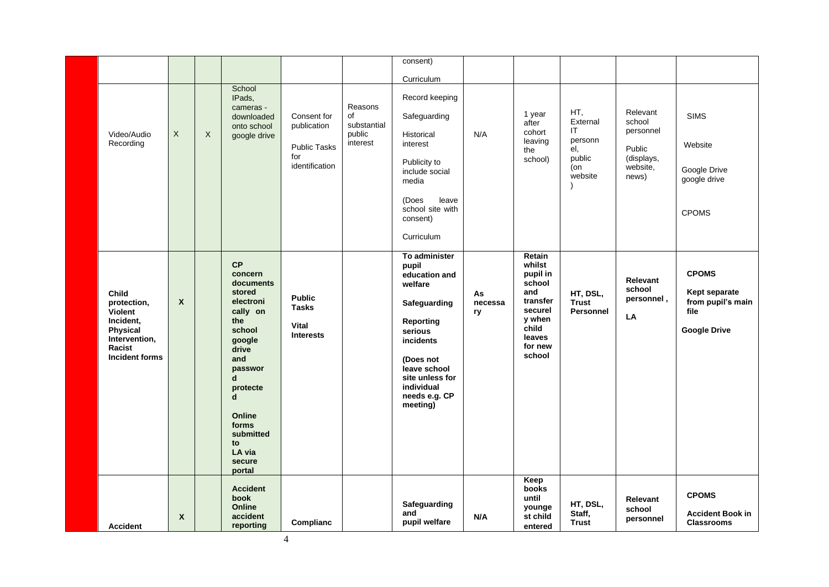|                                                                                                              |                           |         |                                                                                                                                                                                                                                          |                                                                            |                                                    | consent)                                                                                                                                                                                                  |                     |                                                                                                                        |                                                                     |                                                                              |                                                                                   |
|--------------------------------------------------------------------------------------------------------------|---------------------------|---------|------------------------------------------------------------------------------------------------------------------------------------------------------------------------------------------------------------------------------------------|----------------------------------------------------------------------------|----------------------------------------------------|-----------------------------------------------------------------------------------------------------------------------------------------------------------------------------------------------------------|---------------------|------------------------------------------------------------------------------------------------------------------------|---------------------------------------------------------------------|------------------------------------------------------------------------------|-----------------------------------------------------------------------------------|
|                                                                                                              |                           |         |                                                                                                                                                                                                                                          |                                                                            |                                                    | Curriculum                                                                                                                                                                                                |                     |                                                                                                                        |                                                                     |                                                                              |                                                                                   |
| Video/Audio<br>Recording                                                                                     | $\mathsf{X}$              | $\sf X$ | School<br>IPads,<br>cameras -<br>downloaded<br>onto school<br>google drive                                                                                                                                                               | Consent for<br>publication<br><b>Public Tasks</b><br>for<br>identification | Reasons<br>of<br>substantial<br>public<br>interest | Record keeping<br>Safeguarding<br>Historical<br>interest<br>Publicity to<br>include social<br>media<br>leave<br>(Does<br>school site with<br>consent)<br>Curriculum                                       | N/A                 | 1 year<br>after<br>cohort<br>leaving<br>the<br>school)                                                                 | HT,<br>External<br>IT<br>personn<br>el,<br>public<br>(on<br>website | Relevant<br>school<br>personnel<br>Public<br>(displays,<br>website,<br>news) | <b>SIMS</b><br>Website<br>Google Drive<br>google drive<br><b>CPOMS</b>            |
| Child<br>protection,<br>Violent<br>Incident,<br>Physical<br>Intervention,<br>Racist<br><b>Incident forms</b> | $\boldsymbol{\mathsf{x}}$ |         | <b>CP</b><br>concern<br>documents<br>stored<br>electroni<br>cally on<br>the<br>school<br>google<br>drive<br>and<br>passwor<br>$\mathbf d$<br>protecte<br>$\mathbf d$<br>Online<br>forms<br>submitted<br>to<br>LA via<br>secure<br>portal | <b>Public</b><br><b>Tasks</b><br><b>Vital</b><br><b>Interests</b>          |                                                    | To administer<br>pupil<br>education and<br>welfare<br>Safeguarding<br><b>Reporting</b><br>serious<br>incidents<br>(Does not<br>leave school<br>site unless for<br>individual<br>needs e.g. CP<br>meeting) | As<br>necessa<br>ry | Retain<br>whilst<br>pupil in<br>school<br>and<br>transfer<br>securel<br>y when<br>child<br>leaves<br>for new<br>school | HT, DSL,<br><b>Trust</b><br><b>Personnel</b>                        | <b>Relevant</b><br>school<br>personnel,<br>LA                                | <b>CPOMS</b><br>Kept separate<br>from pupil's main<br>file<br><b>Google Drive</b> |
| <b>Accident</b>                                                                                              | $\mathsf{x}$              |         | <b>Accident</b><br>book<br>Online<br>accident<br>reporting                                                                                                                                                                               | Complianc                                                                  |                                                    | Safeguarding<br>and<br>pupil welfare                                                                                                                                                                      | N/A                 | Keep<br>books<br>until<br>younge<br>st child<br>entered                                                                | HT, DSL,<br>Staff,<br><b>Trust</b>                                  | <b>Relevant</b><br>school<br>personnel                                       | <b>CPOMS</b><br><b>Accident Book in</b><br><b>Classrooms</b>                      |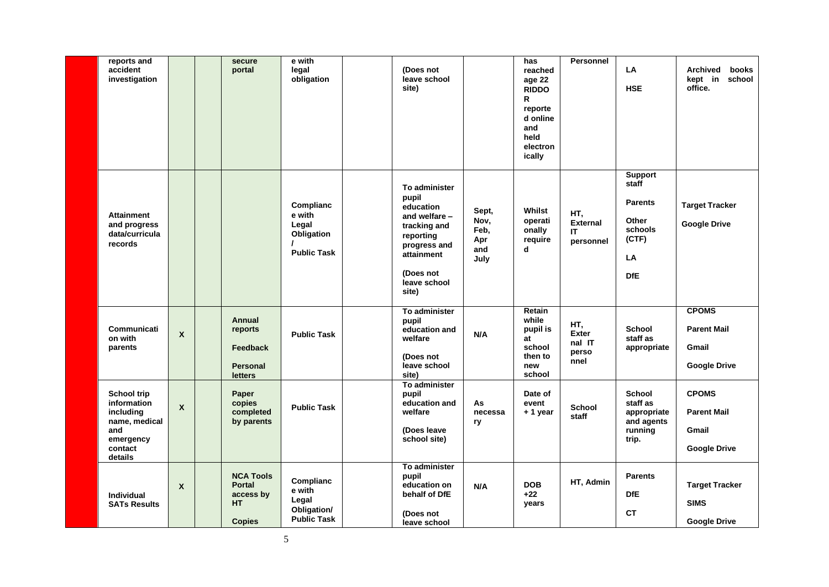| reports and<br>accident<br>investigation                                                           |                           | secure<br>portal                                                             | e with<br>legal<br>obligation                                     | (Does not<br>leave school<br>site)                                                                                                                    |                                             | has<br>reached<br>age 22<br><b>RIDDO</b><br>R<br>reporte<br>d online<br>and<br>held<br>electron<br>ically | <b>Personnel</b>                               | LA<br><b>HSE</b>                                                                           | books<br>Archived<br>kept in<br>school<br>office.                  |
|----------------------------------------------------------------------------------------------------|---------------------------|------------------------------------------------------------------------------|-------------------------------------------------------------------|-------------------------------------------------------------------------------------------------------------------------------------------------------|---------------------------------------------|-----------------------------------------------------------------------------------------------------------|------------------------------------------------|--------------------------------------------------------------------------------------------|--------------------------------------------------------------------|
| <b>Attainment</b><br>and progress<br>data/curricula<br>records                                     |                           |                                                                              | Complianc<br>e with<br>Legal<br>Obligation<br><b>Public Task</b>  | To administer<br>pupil<br>education<br>and welfare -<br>tracking and<br>reporting<br>progress and<br>attainment<br>(Does not<br>leave school<br>site) | Sept,<br>Nov,<br>Feb,<br>Apr<br>and<br>July | Whilst<br>operati<br>onally<br>require<br>d                                                               | HT,<br><b>External</b><br>IT<br>personnel      | <b>Support</b><br>staff<br><b>Parents</b><br>Other<br>schools<br>(CTF)<br>LA<br><b>DfE</b> | <b>Target Tracker</b><br><b>Google Drive</b>                       |
| Communicati<br>on with<br>parents                                                                  | $\boldsymbol{\mathsf{x}}$ | <b>Annual</b><br>reports<br><b>Feedback</b><br><b>Personal</b><br>letters    | <b>Public Task</b>                                                | To administer<br>pupil<br>education and<br>welfare<br>(Does not<br>leave school<br>site)                                                              | N/A                                         | Retain<br>while<br>pupil is<br>at<br>school<br>then to<br>new<br>school                                   | HT,<br><b>Exter</b><br>nal IT<br>perso<br>nnel | <b>School</b><br>staff as<br>appropriate                                                   | <b>CPOMS</b><br><b>Parent Mail</b><br>Gmail<br><b>Google Drive</b> |
| School trip<br>information<br>including<br>name, medical<br>and<br>emergency<br>contact<br>details | $\boldsymbol{\mathsf{x}}$ | Paper<br>copies<br>completed<br>by parents                                   | <b>Public Task</b>                                                | To administer<br>pupil<br>education and<br>welfare<br>(Does leave<br>school site)                                                                     | As<br>necessa<br>ry                         | Date of<br>event<br>+ 1 year                                                                              | <b>School</b><br>staff                         | <b>School</b><br>staff as<br>appropriate<br>and agents<br>running<br>trip.                 | <b>CPOMS</b><br><b>Parent Mail</b><br>Gmail<br><b>Google Drive</b> |
| <b>Individual</b><br><b>SATs Results</b>                                                           | $\boldsymbol{\mathsf{X}}$ | <b>NCA Tools</b><br><b>Portal</b><br>access by<br><b>HT</b><br><b>Copies</b> | Complianc<br>e with<br>Legal<br>Obligation/<br><b>Public Task</b> | To administer<br>pupil<br>education on<br>behalf of DfE<br>(Does not<br>leave school                                                                  | N/A                                         | <b>DOB</b><br>$+22$<br>years                                                                              | HT, Admin                                      | <b>Parents</b><br><b>DfE</b><br><b>CT</b>                                                  | <b>Target Tracker</b><br><b>SIMS</b><br><b>Google Drive</b>        |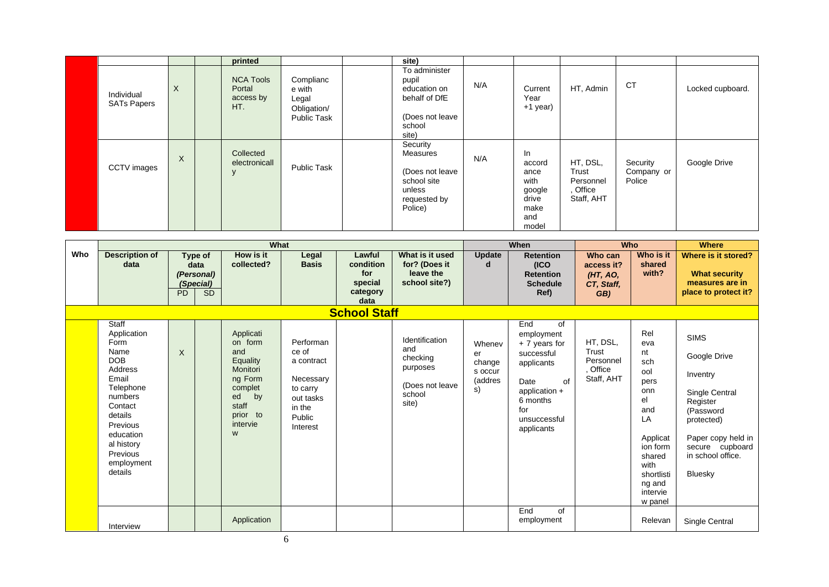|                                  |          | printed                                        |                                                                   | site)                                                                                         |     |                                                                         |                                                          |                                  |                  |
|----------------------------------|----------|------------------------------------------------|-------------------------------------------------------------------|-----------------------------------------------------------------------------------------------|-----|-------------------------------------------------------------------------|----------------------------------------------------------|----------------------------------|------------------|
| Individual<br><b>SATs Papers</b> | $\times$ | <b>NCA Tools</b><br>Portal<br>access by<br>HT. | Complianc<br>e with<br>Legal<br>Obligation/<br><b>Public Task</b> | To administer<br>pupil<br>education on<br>behalf of DfE<br>(Does not leave<br>school<br>site) | N/A | Current<br>Year<br>+1 year)                                             | HT, Admin                                                | <b>CT</b>                        | Locked cupboard. |
| CCTV images                      | $\sf X$  | Collected<br>electronicall<br>$\vee$           | <b>Public Task</b>                                                | Security<br>Measures<br>(Does not leave<br>school site<br>unless<br>requested by<br>Police)   | N/A | In<br>accord<br>ance<br>with<br>google<br>drive<br>make<br>and<br>model | HT, DSL,<br>Trust<br>Personnel<br>, Office<br>Staff, AHT | Security<br>Company or<br>Police | Google Drive     |

|     |                                                                                                                                                                                                         |           |                                                         | What                                                                                                                        |                                                                                                        |                                                           |                                                                                      |                                                    | When                                                                                                                                                  | Who                                                    |                                                                                                                                                           | <b>Where</b>                                                                                                                                                              |
|-----|---------------------------------------------------------------------------------------------------------------------------------------------------------------------------------------------------------|-----------|---------------------------------------------------------|-----------------------------------------------------------------------------------------------------------------------------|--------------------------------------------------------------------------------------------------------|-----------------------------------------------------------|--------------------------------------------------------------------------------------|----------------------------------------------------|-------------------------------------------------------------------------------------------------------------------------------------------------------|--------------------------------------------------------|-----------------------------------------------------------------------------------------------------------------------------------------------------------|---------------------------------------------------------------------------------------------------------------------------------------------------------------------------|
| Who | <b>Description of</b><br>data                                                                                                                                                                           | <b>PD</b> | Type of<br>data<br>(Personal)<br>(Special)<br><b>SD</b> | How is it<br>collected?                                                                                                     | Legal<br><b>Basis</b>                                                                                  | Lawful<br>condition<br>for<br>special<br>category<br>data | What is it used<br>for? (Does it<br>leave the<br>school site?)                       | <b>Update</b><br>d                                 | <b>Retention</b><br>(ICO)<br><b>Retention</b><br><b>Schedule</b><br>Ref)                                                                              | Who can<br>access it?<br>(HT, AO,<br>CT, Staff,<br>GB) | Who is it<br>shared<br>with?                                                                                                                              | Where is it stored?<br><b>What security</b><br>measures are in<br>place to protect it?                                                                                    |
|     |                                                                                                                                                                                                         |           |                                                         |                                                                                                                             |                                                                                                        | <b>School Staff</b>                                       |                                                                                      |                                                    |                                                                                                                                                       |                                                        |                                                                                                                                                           |                                                                                                                                                                           |
|     | Staff<br>Application<br>Form<br>Name<br><b>DOB</b><br><b>Address</b><br>Email<br>Telephone<br>numbers<br>Contact<br>details<br>Previous<br>education<br>al history<br>Previous<br>employment<br>details | X         |                                                         | Applicati<br>on form<br>and<br>Equality<br>Monitori<br>ng Form<br>complet<br>ed<br>by<br>staff<br>prior to<br>intervie<br>W | Performan<br>ce of<br>a contract<br>Necessary<br>to carry<br>out tasks<br>in the<br>Public<br>Interest |                                                           | Identification<br>and<br>checking<br>purposes<br>(Does not leave)<br>school<br>site) | Whenev<br>er<br>change<br>s occur<br>(addres<br>s) | End<br>of<br>employment<br>$+7$ years for<br>successful<br>applicants<br>Date<br>of<br>application +<br>6 months<br>for<br>unsuccessful<br>applicants | HT, DSL,<br>Trust<br>Personnel<br>Office<br>Staff, AHT | Rel<br>eva<br>nt<br>sch<br>ool<br>pers<br>onn<br>el<br>and<br>LA<br>Applicat<br>ion form<br>shared<br>with<br>shortlisti<br>ng and<br>intervie<br>w panel | <b>SIMS</b><br>Google Drive<br>Inventry<br>Single Central<br>Register<br>(Password<br>protected)<br>Paper copy held in<br>secure cupboard<br>in school office.<br>Bluesky |
|     | Interview                                                                                                                                                                                               |           |                                                         | Application                                                                                                                 |                                                                                                        |                                                           |                                                                                      |                                                    | End<br>of<br>employment                                                                                                                               |                                                        | Relevan                                                                                                                                                   | Single Central                                                                                                                                                            |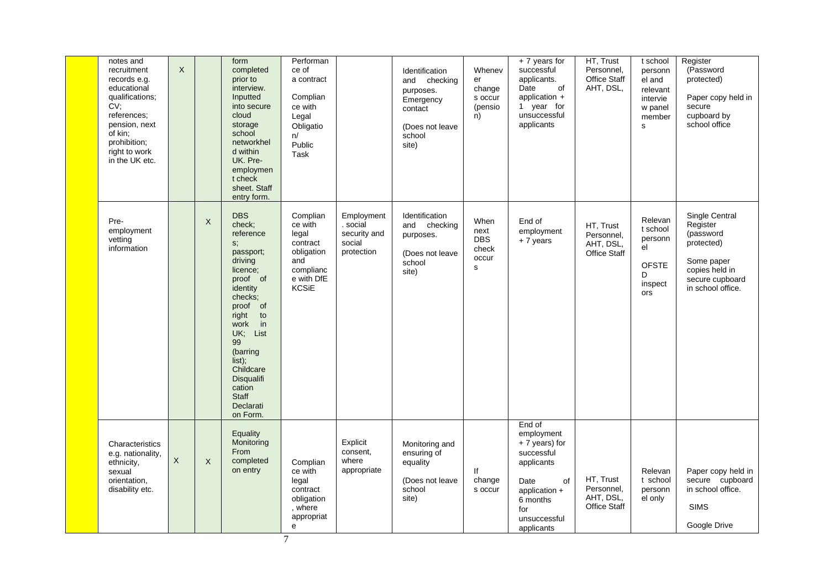| notes and<br>recruitment<br>records e.g.<br>educational<br>qualifications;<br>CV;<br>references;<br>pension, next<br>of kin:<br>prohibition;<br>right to work<br>in the UK etc. | $\mathsf{X}$ |             | form<br>completed<br>prior to<br>interview.<br>Inputted<br>into secure<br>cloud<br>storage<br>school<br>networkhel<br>d within<br>UK. Pre-<br>employmen<br>t check<br>sheet. Staff<br>entry form.                                                                                   | Performan<br>ce of<br>a contract<br>Complian<br>ce with<br>Legal<br>Obligatio<br>n/<br>Public<br>Task    |                                                                | Identification<br>and checking<br>purposes.<br>Emergency<br>contact<br>(Does not leave<br>school<br>site) | Whenev<br>er<br>change<br>s occur<br>(pensio<br>n)   | + 7 years for<br>successful<br>applicants.<br>Date<br>of<br>application $+$<br>1 year for<br>unsuccessful<br>applicants                             | HT, Trust<br>Personnel,<br>Office Staff<br>AHT, DSL,        | t school<br>personn<br>el and<br>relevant<br>intervie<br>w panel<br>member<br>$\mathbf{s}$ | Register<br>(Password<br>protected)<br>Paper copy held in<br>secure<br>cupboard by<br>school office                           |
|---------------------------------------------------------------------------------------------------------------------------------------------------------------------------------|--------------|-------------|-------------------------------------------------------------------------------------------------------------------------------------------------------------------------------------------------------------------------------------------------------------------------------------|----------------------------------------------------------------------------------------------------------|----------------------------------------------------------------|-----------------------------------------------------------------------------------------------------------|------------------------------------------------------|-----------------------------------------------------------------------------------------------------------------------------------------------------|-------------------------------------------------------------|--------------------------------------------------------------------------------------------|-------------------------------------------------------------------------------------------------------------------------------|
| Pre-<br>employment<br>vetting<br>information                                                                                                                                    |              | X           | <b>DBS</b><br>check;<br>reference<br>S <sub>1</sub><br>passport;<br>driving<br>licence;<br>proof of<br>identity<br>checks;<br>proof of<br>right to<br>work in<br>UK; List<br>99<br>(barring<br>list);<br>Childcare<br>Disqualifi<br>cation<br><b>Staff</b><br>Declarati<br>on Form. | Complian<br>ce with<br>legal<br>contract<br>obligation<br>and<br>complianc<br>e with DfE<br><b>KCSiE</b> | Employment<br>. social<br>security and<br>social<br>protection | Identification<br>and checking<br>purposes.<br>(Does not leave<br>school<br>site)                         | When<br>next<br>DBS<br>check<br>occur<br>$\mathbf s$ | End of<br>employment<br>$+7$ years                                                                                                                  | HT, Trust<br>Personnel,<br>AHT, DSL,<br><b>Office Staff</b> | Relevan<br>t school<br>personn<br>el<br><b>OFSTE</b><br>D<br>inspect<br>ors                | Single Central<br>Register<br>(password<br>protected)<br>Some paper<br>copies held in<br>secure cupboard<br>in school office. |
| Characteristics<br>e.g. nationality,<br>ethnicity,<br>sexual<br>orientation,<br>disability etc.                                                                                 | $\mathsf X$  | $\mathsf X$ | <b>Equality</b><br>Monitoring<br>From<br>completed<br>on entry                                                                                                                                                                                                                      | Complian<br>ce with<br>legal<br>contract<br>obligation<br>, where<br>appropriat<br>e<br>$\overline{7}$   | Explicit<br>consent,<br>where<br>appropriate                   | Monitoring and<br>ensuring of<br>equality<br>(Does not leave<br>school<br>site)                           | lf<br>change<br>s occur                              | End of<br>employment<br>$+7$ years) for<br>successful<br>applicants<br>Date<br>of<br>application +<br>6 months<br>for<br>unsuccessful<br>applicants | HT, Trust<br>Personnel,<br>AHT, DSL,<br><b>Office Staff</b> | Relevan<br>t school<br>personn<br>el only                                                  | Paper copy held in<br>secure cupboard<br>in school office.<br><b>SIMS</b><br>Google Drive                                     |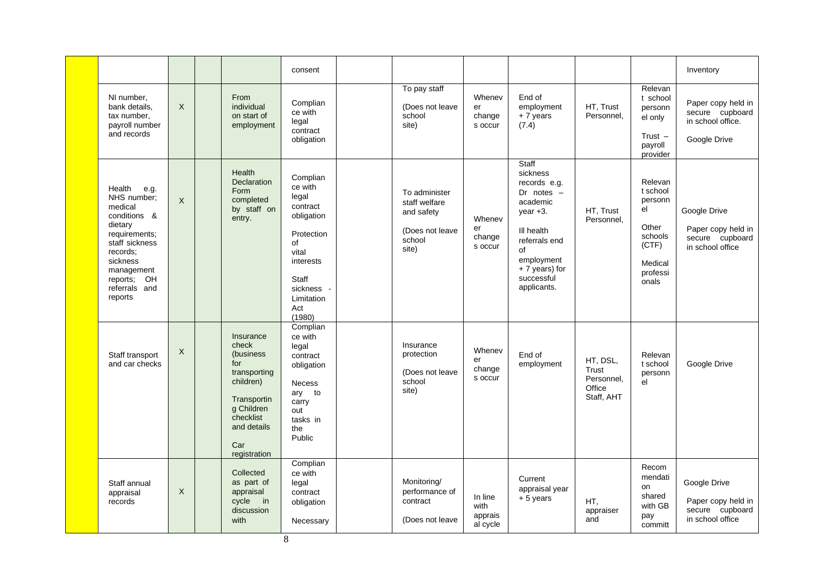|                                                                                                                                                                                         |          |                                                                                                                                                      | consent                                                                                                                                                |                                                                                    |                                        |                                                                                                                                                                               |                                                         |                                                                                                               | Inventory                                                                  |
|-----------------------------------------------------------------------------------------------------------------------------------------------------------------------------------------|----------|------------------------------------------------------------------------------------------------------------------------------------------------------|--------------------------------------------------------------------------------------------------------------------------------------------------------|------------------------------------------------------------------------------------|----------------------------------------|-------------------------------------------------------------------------------------------------------------------------------------------------------------------------------|---------------------------------------------------------|---------------------------------------------------------------------------------------------------------------|----------------------------------------------------------------------------|
| NI number,<br>bank details,<br>tax number,<br>payroll number<br>and records                                                                                                             | $\times$ | From<br>individual<br>on start of<br>employment                                                                                                      | Complian<br>ce with<br>legal<br>contract<br>obligation                                                                                                 | To pay staff<br>(Does not leave<br>school<br>site)                                 | Whenev<br>er<br>change<br>s occur      | End of<br>employment<br>$+7$ years<br>(7.4)                                                                                                                                   | HT, Trust<br>Personnel,                                 | Relevan<br>t school<br>personn<br>el only<br>Trust $-$<br>payroll                                             | Paper copy held in<br>secure cupboard<br>in school office.<br>Google Drive |
| Health<br>e.g.<br>NHS number;<br>medical<br>conditions &<br>dietary<br>requirements;<br>staff sickness<br>records:<br>sickness<br>management<br>reports; OH<br>referrals and<br>reports | $\times$ | Health<br><b>Declaration</b><br>Form<br>completed<br>by staff on<br>entry.                                                                           | Complian<br>ce with<br>legal<br>contract<br>obligation<br>Protection<br>of<br>vital<br>interests<br>Staff<br>sickness -<br>Limitation<br>Act<br>(1980) | To administer<br>staff welfare<br>and safety<br>(Does not leave<br>school<br>site) | Whenev<br>er<br>change<br>s occur      | Staff<br>sickness<br>records e.g.<br>Dr notes $-$<br>academic<br>$year +3.$<br>III health<br>referrals end<br>of<br>employment<br>+ 7 years) for<br>successful<br>applicants. | HT, Trust<br>Personnel,                                 | provider<br>Relevan<br>t school<br>personn<br>el<br>Other<br>schools<br>(CTF)<br>Medical<br>professi<br>onals | Google Drive<br>Paper copy held in<br>secure cupboard<br>in school office  |
| Staff transport<br>and car checks                                                                                                                                                       | $\times$ | Insurance<br>check<br>(business)<br>for<br>transporting<br>children)<br>Transportin<br>g Children<br>checklist<br>and details<br>Car<br>registration | Complian<br>ce with<br>legal<br>contract<br>obligation<br><b>Necess</b><br>ary to<br>carry<br>out<br>tasks in<br>the<br>Public                         | Insurance<br>protection<br>(Does not leave<br>school<br>site)                      | Whenev<br>er<br>change<br>s occur      | End of<br>employment                                                                                                                                                          | HT, DSL,<br>Trust<br>Personnel.<br>Office<br>Staff, AHT | Relevan<br>t school<br>personn<br>el                                                                          | Google Drive                                                               |
| Staff annual<br>appraisal<br>records                                                                                                                                                    | X        | Collected<br>as part of<br>appraisal<br>cycle<br>$\overline{\mathsf{in}}$<br>discussion<br>with                                                      | Complian<br>ce with<br>legal<br>contract<br>obligation<br>Necessary                                                                                    | Monitoring/<br>performance of<br>contract<br>(Does not leave                       | In line<br>with<br>apprais<br>al cycle | Current<br>appraisal year<br>$+5$ years                                                                                                                                       | HT,<br>appraiser<br>and                                 | Recom<br>mendati<br>on<br>shared<br>with GB<br>pay<br>committ                                                 | Google Drive<br>Paper copy held in<br>secure cupboard<br>in school office  |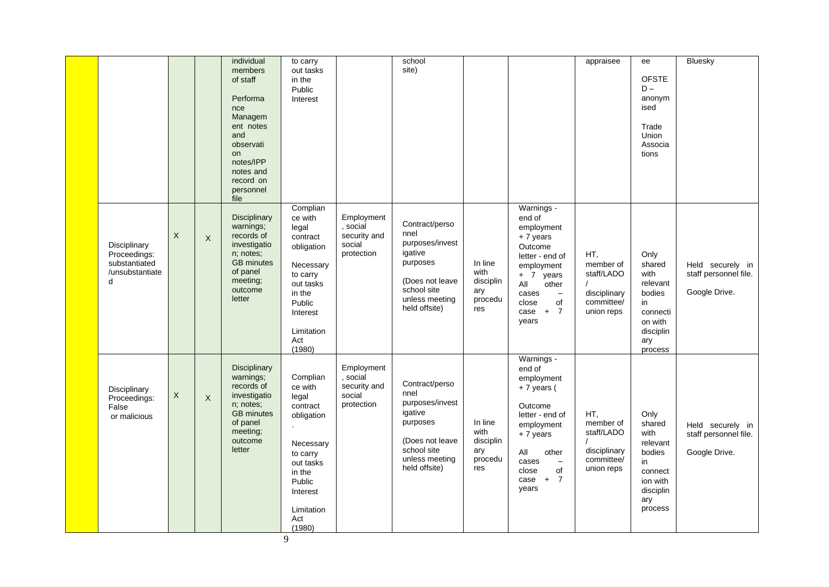|                                                                       |             |          | individual<br>members<br>of staff<br>Performa<br>nce<br>Managem<br>ent notes<br>and<br>observati<br><b>on</b><br>notes/IPP<br>notes and<br>record on<br>personnel<br>file | to carry<br>out tasks<br>in the<br>Public<br>Interest                                                                                                       |                                                                | school<br>site)                                                                                                                       |                                                       |                                                                                                                                                                                                            | appraisee                                                                  | ee<br><b>OFSTE</b><br>$D -$<br>anonym<br>ised<br>Trade<br><b>Union</b><br>Associa<br>tions               | Bluesky                                                    |
|-----------------------------------------------------------------------|-------------|----------|---------------------------------------------------------------------------------------------------------------------------------------------------------------------------|-------------------------------------------------------------------------------------------------------------------------------------------------------------|----------------------------------------------------------------|---------------------------------------------------------------------------------------------------------------------------------------|-------------------------------------------------------|------------------------------------------------------------------------------------------------------------------------------------------------------------------------------------------------------------|----------------------------------------------------------------------------|----------------------------------------------------------------------------------------------------------|------------------------------------------------------------|
| Disciplinary<br>Proceedings:<br>substantiated<br>/unsubstantiate<br>d | X           | $\times$ | <b>Disciplinary</b><br>warnings;<br>records of<br>investigatio<br>n; notes;<br><b>GB</b> minutes<br>of panel<br>meeting;<br>outcome<br>letter                             | Complian<br>ce with<br>legal<br>contract<br>obligation<br>Necessary<br>to carry<br>out tasks<br>in the<br>Public<br>Interest<br>Limitation<br>Act<br>(1980) | Employment<br>, social<br>security and<br>social<br>protection | Contract/perso<br>nnel<br>purposes/invest<br>igative<br>purposes<br>(Does not leave<br>school site<br>unless meeting<br>held offsite) | In line<br>with<br>disciplin<br>ary<br>procedu<br>res | Warnings -<br>end of<br>employment<br>$+7$ years<br>Outcome<br>letter - end of<br>employment<br>+ 7 years<br>All<br>other<br>cases<br>$\overline{\phantom{m}}$<br>of<br>close<br>$case + 7$<br>years       | HT,<br>member of<br>staff/LADO<br>disciplinary<br>committee/<br>union reps | Only<br>shared<br>with<br>relevant<br>bodies<br>in<br>connecti<br>on with<br>disciplin<br>ary<br>process | Held securely in<br>staff personnel file.<br>Google Drive. |
| Disciplinary<br>Proceedings:<br>False<br>or malicious                 | $\mathsf X$ | X        | Disciplinary<br>warnings;<br>records of<br>investigatio<br>n; notes;<br><b>GB</b> minutes<br>of panel<br>meeting;<br>outcome<br>letter                                    | Complian<br>ce with<br>legal<br>contract<br>obligation<br>Necessary<br>to carry<br>out tasks<br>in the<br>Public<br>Interest<br>Limitation<br>Act<br>(1980) | Employment<br>, social<br>security and<br>social<br>protection | Contract/perso<br>nnel<br>purposes/invest<br>igative<br>purposes<br>(Does not leave<br>school site<br>unless meeting<br>held offsite) | In line<br>with<br>disciplin<br>ary<br>procedu<br>res | Warnings -<br>end of<br>employment<br>$+7$ years (<br>Outcome<br>letter - end of<br>employment<br>$+7$ years<br>All<br>other<br>cases<br>$\overline{\phantom{m}}$<br>close<br>of<br>$+ 7$<br>case<br>years | HT,<br>member of<br>staff/LADO<br>disciplinary<br>committee/<br>union reps | Only<br>shared<br>with<br>relevant<br>bodies<br>in<br>connect<br>ion with<br>disciplin<br>ary<br>process | Held securely in<br>staff personnel file.<br>Google Drive. |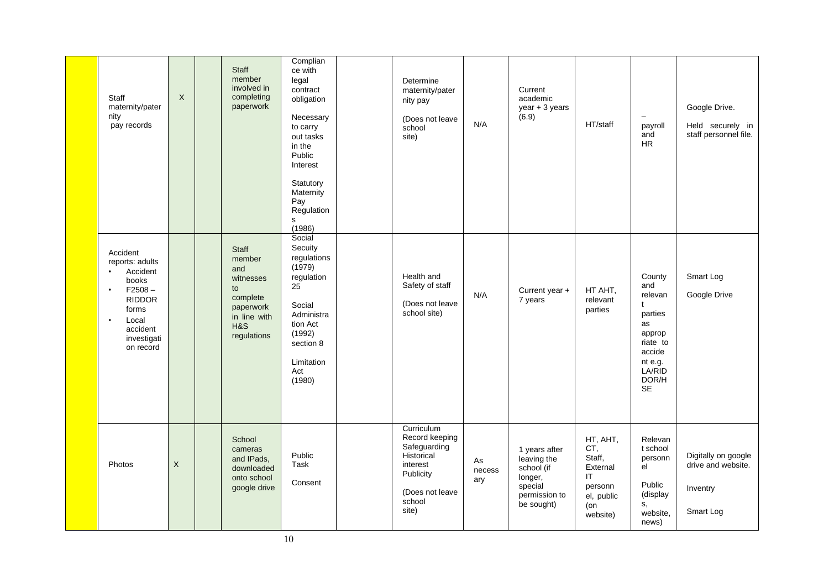| Staff<br>maternity/pater<br>nity<br>pay records                                                                                                                                 | $\mathsf{X}$ | <b>Staff</b><br>member<br>involved in<br>completing<br>paperwork                                                | Complian<br>ce with<br>legal<br>contract<br>obligation<br>Necessary<br>to carry<br>out tasks<br>in the<br>Public<br>Interest<br>Statutory<br>Maternity<br>Pay<br>Regulation<br>s<br>(1986) | Determine<br>maternity/pater<br>nity pay<br>(Does not leave<br>school<br>site)                                            | N/A                 | Current<br>academic<br>year + 3 years<br>(6.9)                                                  | HT/staff                                                                                | $\overline{\phantom{0}}$<br>payroll<br>and<br>${\sf HR}$                                                                            | Google Drive.<br>Held securely in<br>staff personnel file.         |
|---------------------------------------------------------------------------------------------------------------------------------------------------------------------------------|--------------|-----------------------------------------------------------------------------------------------------------------|--------------------------------------------------------------------------------------------------------------------------------------------------------------------------------------------|---------------------------------------------------------------------------------------------------------------------------|---------------------|-------------------------------------------------------------------------------------------------|-----------------------------------------------------------------------------------------|-------------------------------------------------------------------------------------------------------------------------------------|--------------------------------------------------------------------|
| Accident<br>reports: adults<br>Accident<br>$\bullet$<br>books<br>$F2508 -$<br>$\bullet$<br><b>RIDDOR</b><br>forms<br>Local<br>$\bullet$<br>accident<br>investigati<br>on record |              | <b>Staff</b><br>member<br>and<br>witnesses<br>to<br>complete<br>paperwork<br>in line with<br>H&S<br>regulations | Social<br>Secuity<br>regulations<br>(1979)<br>regulation<br>25<br>Social<br>Administra<br>tion Act<br>(1992)<br>section 8<br>Limitation<br>Act<br>(1980)                                   | Health and<br>Safety of staff<br>(Does not leave<br>school site)                                                          | N/A                 | Current year +<br>7 years                                                                       | HT AHT,<br>relevant<br>parties                                                          | County<br>and<br>relevan<br>$\mathbf t$<br>parties<br>as<br>approp<br>riate to<br>accide<br>nt e.g.<br>LA/RID<br>DOR/H<br><b>SE</b> | Smart Log<br>Google Drive                                          |
| Photos                                                                                                                                                                          | X            | School<br>cameras<br>and IPads,<br>downloaded<br>onto school<br>google drive                                    | Public<br>Task<br>Consent                                                                                                                                                                  | Curriculum<br>Record keeping<br>Safeguarding<br>Historical<br>interest<br>Publicity<br>(Does not leave<br>school<br>site) | As<br>necess<br>ary | 1 years after<br>leaving the<br>school (if<br>longer,<br>special<br>permission to<br>be sought) | HT, AHT,<br>CT,<br>Staff,<br>External<br>IT<br>personn<br>el, public<br>(on<br>website) | Relevan<br>t school<br>personn<br>el<br>Public<br>(display<br>s,<br>website,<br>news)                                               | Digitally on google<br>drive and website.<br>Inventry<br>Smart Log |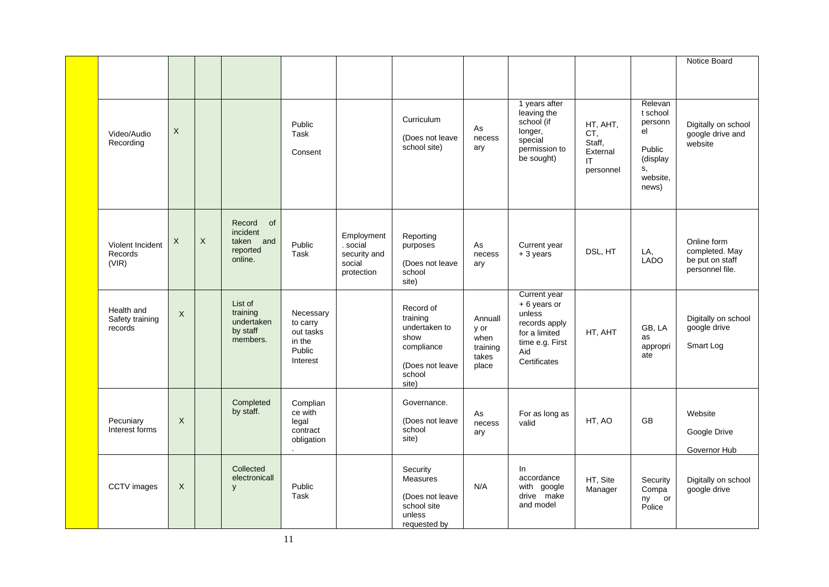|                                          |                           |             |                                                                     |                                                                    |                                                                |                                                                                                    |                                                       |                                                                                                                   |                                                           |                                                                                       | Notice Board                                                        |
|------------------------------------------|---------------------------|-------------|---------------------------------------------------------------------|--------------------------------------------------------------------|----------------------------------------------------------------|----------------------------------------------------------------------------------------------------|-------------------------------------------------------|-------------------------------------------------------------------------------------------------------------------|-----------------------------------------------------------|---------------------------------------------------------------------------------------|---------------------------------------------------------------------|
|                                          |                           |             |                                                                     |                                                                    |                                                                |                                                                                                    |                                                       |                                                                                                                   |                                                           |                                                                                       |                                                                     |
| Video/Audio<br>Recording                 | $\boldsymbol{\mathsf{X}}$ |             |                                                                     | Public<br>Task<br>Consent                                          |                                                                | Curriculum<br>(Does not leave<br>school site)                                                      | As<br>necess<br>ary                                   | 1 years after<br>leaving the<br>school (if<br>longer,<br>special<br>permission to<br>be sought)                   | HT, AHT,<br>CT.<br>Staff,<br>External<br>IT.<br>personnel | Relevan<br>t school<br>personn<br>el<br>Public<br>(display<br>s,<br>website.<br>news) | Digitally on school<br>google drive and<br>website                  |
| Violent Incident<br>Records<br>(VIR)     | X                         | $\mathsf X$ | Record<br><b>of</b><br>incident<br>taken and<br>reported<br>online. | Public<br><b>Task</b>                                              | Employment<br>. social<br>security and<br>social<br>protection | Reporting<br>purposes<br>(Does not leave<br>school<br>site)                                        | As<br>necess<br>ary                                   | Current year<br>$+3$ years                                                                                        | DSL, HT                                                   | LA,<br><b>LADO</b>                                                                    | Online form<br>completed. May<br>be put on staff<br>personnel file. |
| Health and<br>Safety training<br>records | $\mathsf X$               |             | List of<br>training<br>undertaken<br>by staff<br>members.           | Necessary<br>to carry<br>out tasks<br>in the<br>Public<br>Interest |                                                                | Record of<br>training<br>undertaken to<br>show<br>compliance<br>(Does not leave<br>school<br>site) | Annuall<br>y or<br>when<br>training<br>takes<br>place | Current year<br>+6 years or<br>unless<br>records apply<br>for a limited<br>time e.g. First<br>Aid<br>Certificates | HT, AHT                                                   | GB, LA<br>as<br>appropri<br>ate                                                       | Digitally on school<br>google drive<br>Smart Log                    |
| Pecuniary<br>Interest forms              | $\times$                  |             | Completed<br>by staff.                                              | Complian<br>ce with<br>legal<br>contract<br>obligation             |                                                                | Governance.<br>(Does not leave<br>school<br>site)                                                  | As<br>necess<br>ary                                   | For as long as<br>valid                                                                                           | HT, AO                                                    | <b>GB</b>                                                                             | Website<br>Google Drive<br>Governor Hub                             |
| CCTV images                              | $\times$                  |             | Collected<br>electronicall<br>y                                     | Public<br>Task                                                     |                                                                | Security<br><b>Measures</b><br>(Does not leave<br>school site<br>unless<br>requested by            | N/A                                                   | In.<br>accordance<br>with google<br>drive make<br>and model                                                       | HT, Site<br>Manager                                       | Security<br>Compa<br>ny or<br>Police                                                  | Digitally on school<br>google drive                                 |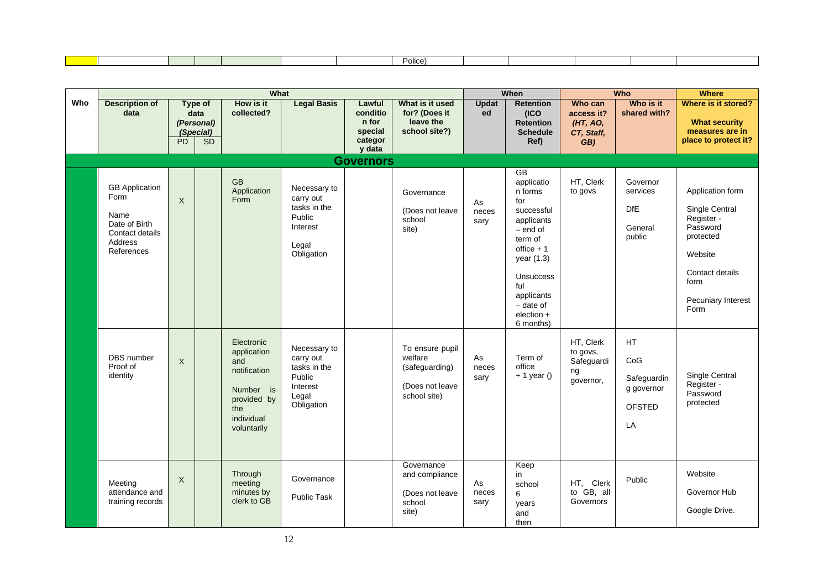|  |  |  | اممنام<br>ulle |  |  |  |
|--|--|--|----------------|--|--|--|
|  |  |  |                |  |  |  |

|     |                                                                                                    |              |                                                                | What                                                                                                             |                                                                                        |                                                             |                                                                                 |                     | When                                                                                                                                                                                                              |                                                        | <b>Who</b>                                                           | <b>Where</b>                                                                                                                                  |
|-----|----------------------------------------------------------------------------------------------------|--------------|----------------------------------------------------------------|------------------------------------------------------------------------------------------------------------------|----------------------------------------------------------------------------------------|-------------------------------------------------------------|---------------------------------------------------------------------------------|---------------------|-------------------------------------------------------------------------------------------------------------------------------------------------------------------------------------------------------------------|--------------------------------------------------------|----------------------------------------------------------------------|-----------------------------------------------------------------------------------------------------------------------------------------------|
| Who | <b>Description of</b><br>data                                                                      | PD           | <b>Type of</b><br>data<br>(Personal)<br>(Special)<br><b>SD</b> | How is it<br>collected?                                                                                          | <b>Legal Basis</b>                                                                     | Lawful<br>conditio<br>n for<br>special<br>categor<br>y data | What is it used<br>for? (Does it<br>leave the<br>school site?)                  | <b>Updat</b><br>ed  | <b>Retention</b><br>(ICO<br><b>Retention</b><br><b>Schedule</b><br>Ref)                                                                                                                                           | Who can<br>access it?<br>(HT, AO,<br>CT, Staff,<br>GB) | Who is it<br>shared with?                                            | Where is it stored?<br><b>What security</b><br>measures are in<br>place to protect it?                                                        |
|     |                                                                                                    |              |                                                                |                                                                                                                  |                                                                                        | <b>Governors</b>                                            |                                                                                 |                     |                                                                                                                                                                                                                   |                                                        |                                                                      |                                                                                                                                               |
|     | <b>GB</b> Application<br>Form<br>Name<br>Date of Birth<br>Contact details<br>Address<br>References | $\mathsf{X}$ |                                                                | <b>GB</b><br>Application<br>Form                                                                                 | Necessary to<br>carry out<br>tasks in the<br>Public<br>Interest<br>Legal<br>Obligation |                                                             | Governance<br>(Does not leave<br>school<br>site)                                | As<br>neces<br>sary | <b>GB</b><br>applicatio<br>n forms<br>for<br>successful<br>applicants<br>$-$ end of<br>term of<br>office $+1$<br>year (1.3)<br><b>Unsuccess</b><br>ful<br>applicants<br>- date of<br>$e$ lection $+$<br>6 months) | HT, Clerk<br>to govs                                   | Governor<br>services<br><b>DfE</b><br>General<br>public              | Application form<br>Single Central<br>Register -<br>Password<br>protected<br>Website<br>Contact details<br>form<br>Pecuniary Interest<br>Form |
|     | <b>DBS</b> number<br>Proof of<br>identity                                                          | $\times$     |                                                                | Electronic<br>application<br>and<br>notification<br>Number is<br>provided by<br>the<br>individual<br>voluntarily | Necessary to<br>carry out<br>tasks in the<br>Public<br>Interest<br>Legal<br>Obligation |                                                             | To ensure pupil<br>welfare<br>(safeguarding)<br>(Does not leave<br>school site) | As<br>neces<br>sary | Term of<br>office<br>$+1$ year ()                                                                                                                                                                                 | HT, Clerk<br>to govs,<br>Safeguardi<br>ng<br>governor, | <b>HT</b><br>CoG<br>Safeguardin<br>g governor<br><b>OFSTED</b><br>LA | Single Central<br>Register -<br>Password<br>protected                                                                                         |
|     | Meeting<br>attendance and<br>training records                                                      | $\mathsf{X}$ |                                                                | Through<br>meeting<br>minutes by<br>clerk to GB                                                                  | Governance<br><b>Public Task</b>                                                       |                                                             | Governance<br>and compliance<br>(Does not leave<br>school<br>site)              | As<br>neces<br>sary | Keep<br>in<br>school<br>6<br>years<br>and<br>then                                                                                                                                                                 | HT, Clerk<br>to GB, all<br>Governors                   | Public                                                               | Website<br>Governor Hub<br>Google Drive.                                                                                                      |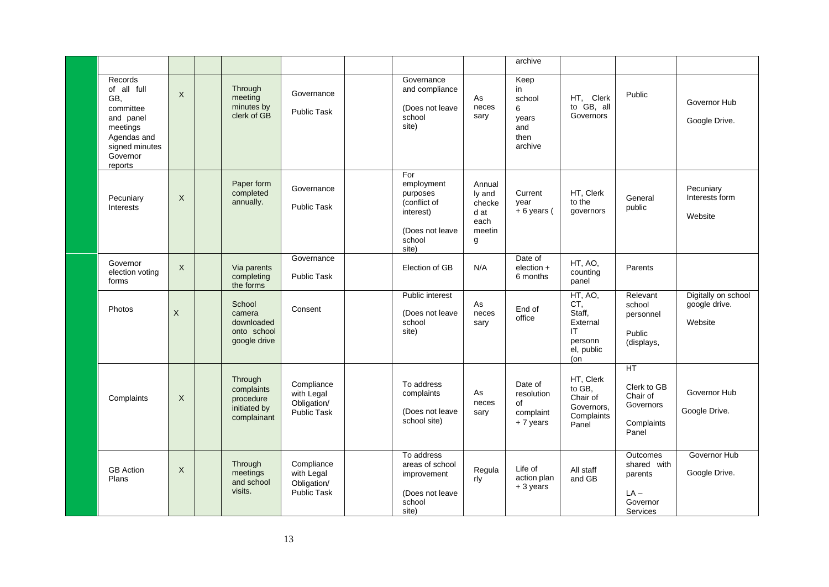|                                                                                                                             |              |                                                                   |                                                               |                                                                                                  |                                                           | archive                                                      |                                                                            |                                                                             |                                                 |
|-----------------------------------------------------------------------------------------------------------------------------|--------------|-------------------------------------------------------------------|---------------------------------------------------------------|--------------------------------------------------------------------------------------------------|-----------------------------------------------------------|--------------------------------------------------------------|----------------------------------------------------------------------------|-----------------------------------------------------------------------------|-------------------------------------------------|
| Records<br>of all full<br>GB,<br>committee<br>and panel<br>meetings<br>Agendas and<br>signed minutes<br>Governor<br>reports | $\mathsf{X}$ | Through<br>meeting<br>minutes by<br>clerk of GB                   | Governance<br><b>Public Task</b>                              | Governance<br>and compliance<br>(Does not leave<br>school<br>site)                               | As<br>neces<br>sary                                       | Keep<br>in<br>school<br>6<br>years<br>and<br>then<br>archive | HT, Clerk<br>to GB, all<br>Governors                                       | Public                                                                      | Governor Hub<br>Google Drive.                   |
| Pecuniary<br>Interests                                                                                                      | X            | Paper form<br>completed<br>annually.                              | Governance<br>Public Task                                     | For<br>employment<br>purposes<br>(conflict of<br>interest)<br>(Does not leave<br>school<br>site) | Annual<br>ly and<br>checke<br>d at<br>each<br>meetin<br>g | Current<br>year<br>$+6$ years (                              | HT, Clerk<br>to the<br>governors                                           | General<br>public                                                           | Pecuniary<br>Interests form<br>Website          |
| Governor<br>election voting<br>forms                                                                                        | X            | Via parents<br>completing<br>the forms                            | Governance<br>Public Task                                     | Election of GB                                                                                   | N/A                                                       | Date of<br>election +<br>6 months                            | HT, AO,<br>counting<br>panel                                               | Parents                                                                     |                                                 |
| Photos                                                                                                                      | $\times$     | School<br>camera<br>downloaded<br>onto school<br>google drive     | Consent                                                       | Public interest<br>(Does not leave<br>school<br>site)                                            | As<br>neces<br>sary                                       | End of<br>office                                             | HT, AO,<br>CT,<br>Staff,<br>External<br>IT<br>personn<br>el, public<br>(on | Relevant<br>school<br>personnel<br>Public<br>(displays,                     | Digitally on school<br>google drive.<br>Website |
| Complaints                                                                                                                  | $\times$     | Through<br>complaints<br>procedure<br>initiated by<br>complainant | Compliance<br>with Legal<br>Obligation/<br><b>Public Task</b> | To address<br>complaints<br>(Does not leave<br>school site)                                      | As<br>neces<br>sary                                       | Date of<br>resolution<br>of<br>complaint<br>+7 years         | HT, Clerk<br>to GB,<br>Chair of<br>Governors,<br>Complaints<br>Panel       | HT<br>Clerk to GB<br>Chair of<br>Governors<br>Complaints<br>Panel           | Governor Hub<br>Google Drive.                   |
| <b>GB</b> Action<br>Plans                                                                                                   | X            | Through<br>meetings<br>and school<br>visits.                      | Compliance<br>with Legal<br>Obligation/<br><b>Public Task</b> | To address<br>areas of school<br>improvement<br>(Does not leave<br>school<br>site)               | Regula<br>rly                                             | Life of<br>action plan<br>+ 3 years                          | All staff<br>and GB                                                        | <b>Outcomes</b><br>shared with<br>parents<br>$LA -$<br>Governor<br>Services | Governor Hub<br>Google Drive.                   |